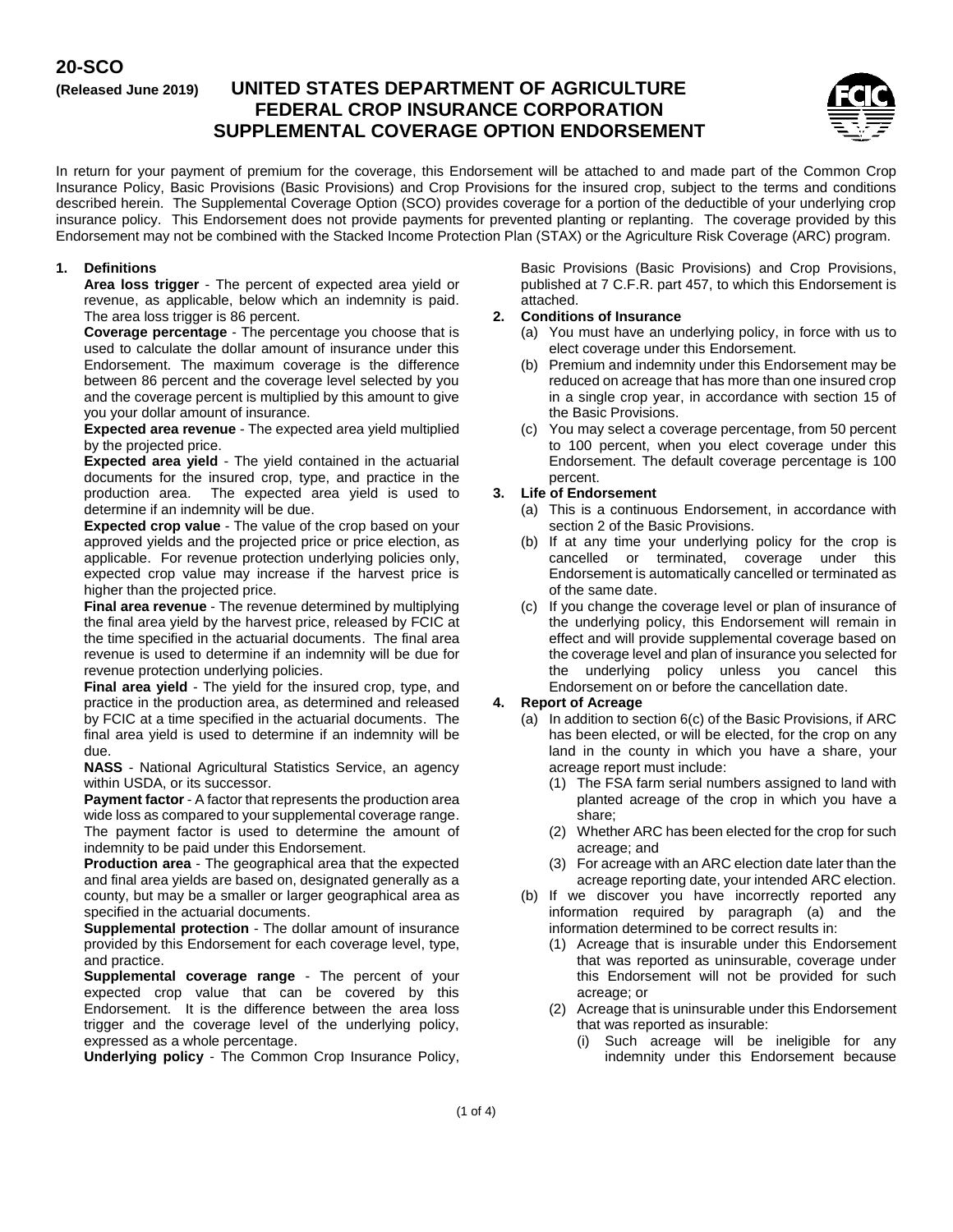# **20-SCO**

# **(Released June 2019) UNITED STATES DEPARTMENT OF AGRICULTURE FEDERAL CROP INSURANCE CORPORATION SUPPLEMENTAL COVERAGE OPTION ENDORSEMENT**



In return for your payment of premium for the coverage, this Endorsement will be attached to and made part of the Common Crop Insurance Policy, Basic Provisions (Basic Provisions) and Crop Provisions for the insured crop, subject to the terms and conditions described herein. The Supplemental Coverage Option (SCO) provides coverage for a portion of the deductible of your underlying crop insurance policy. This Endorsement does not provide payments for prevented planting or replanting. The coverage provided by this Endorsement may not be combined with the Stacked Income Protection Plan (STAX) or the Agriculture Risk Coverage (ARC) program.

### **1. Definitions**

**Area loss trigger** - The percent of expected area yield or revenue, as applicable, below which an indemnity is paid. The area loss trigger is 86 percent.

**Coverage percentage** - The percentage you choose that is used to calculate the dollar amount of insurance under this Endorsement. The maximum coverage is the difference between 86 percent and the coverage level selected by you and the coverage percent is multiplied by this amount to give you your dollar amount of insurance.

**Expected area revenue** - The expected area yield multiplied by the projected price.

**Expected area yield** - The yield contained in the actuarial documents for the insured crop, type, and practice in the production area. The expected area yield is used to determine if an indemnity will be due.

**Expected crop value** - The value of the crop based on your approved yields and the projected price or price election, as applicable. For revenue protection underlying policies only, expected crop value may increase if the harvest price is higher than the projected price.

**Final area revenue** - The revenue determined by multiplying the final area yield by the harvest price, released by FCIC at the time specified in the actuarial documents. The final area revenue is used to determine if an indemnity will be due for revenue protection underlying policies.

**Final area yield** - The yield for the insured crop, type, and practice in the production area, as determined and released by FCIC at a time specified in the actuarial documents. The final area yield is used to determine if an indemnity will be due.

**NASS** - National Agricultural Statistics Service, an agency within USDA, or its successor.

**Payment factor** - A factor that represents the production area wide loss as compared to your supplemental coverage range. The payment factor is used to determine the amount of indemnity to be paid under this Endorsement.

**Production area** - The geographical area that the expected and final area yields are based on, designated generally as a county, but may be a smaller or larger geographical area as specified in the actuarial documents.

**Supplemental protection** - The dollar amount of insurance provided by this Endorsement for each coverage level, type, and practice.

**Supplemental coverage range** - The percent of your expected crop value that can be covered by this Endorsement. It is the difference between the area loss trigger and the coverage level of the underlying policy, expressed as a whole percentage.

**Underlying policy** - The Common Crop Insurance Policy,

Basic Provisions (Basic Provisions) and Crop Provisions, published at 7 C.F.R. part 457, to which this Endorsement is attached.

# **2. Conditions of Insurance**

- (a) You must have an underlying policy, in force with us to elect coverage under this Endorsement.
- (b) Premium and indemnity under this Endorsement may be reduced on acreage that has more than one insured crop in a single crop year, in accordance with section 15 of the Basic Provisions.
- (c) You may select a coverage percentage, from 50 percent to 100 percent, when you elect coverage under this Endorsement. The default coverage percentage is 100 percent.

# **3. Life of Endorsement**

- (a) This is a continuous Endorsement, in accordance with section 2 of the Basic Provisions.
- (b) If at any time your underlying policy for the crop is cancelled or terminated, coverage under this Endorsement is automatically cancelled or terminated as of the same date.
- (c) If you change the coverage level or plan of insurance of the underlying policy, this Endorsement will remain in effect and will provide supplemental coverage based on the coverage level and plan of insurance you selected for the underlying policy unless you cancel this Endorsement on or before the cancellation date.

### **4. Report of Acreage**

- (a) In addition to section 6(c) of the Basic Provisions, if ARC has been elected, or will be elected, for the crop on any land in the county in which you have a share, your acreage report must include:
	- (1) The FSA farm serial numbers assigned to land with planted acreage of the crop in which you have a share;
	- (2) Whether ARC has been elected for the crop for such acreage; and
	- (3) For acreage with an ARC election date later than the acreage reporting date, your intended ARC election.
- (b) If we discover you have incorrectly reported any information required by paragraph (a) and the information determined to be correct results in:
	- (1) Acreage that is insurable under this Endorsement that was reported as uninsurable, coverage under this Endorsement will not be provided for such acreage; or
	- (2) Acreage that is uninsurable under this Endorsement that was reported as insurable:
		- (i) Such acreage will be ineligible for any indemnity under this Endorsement because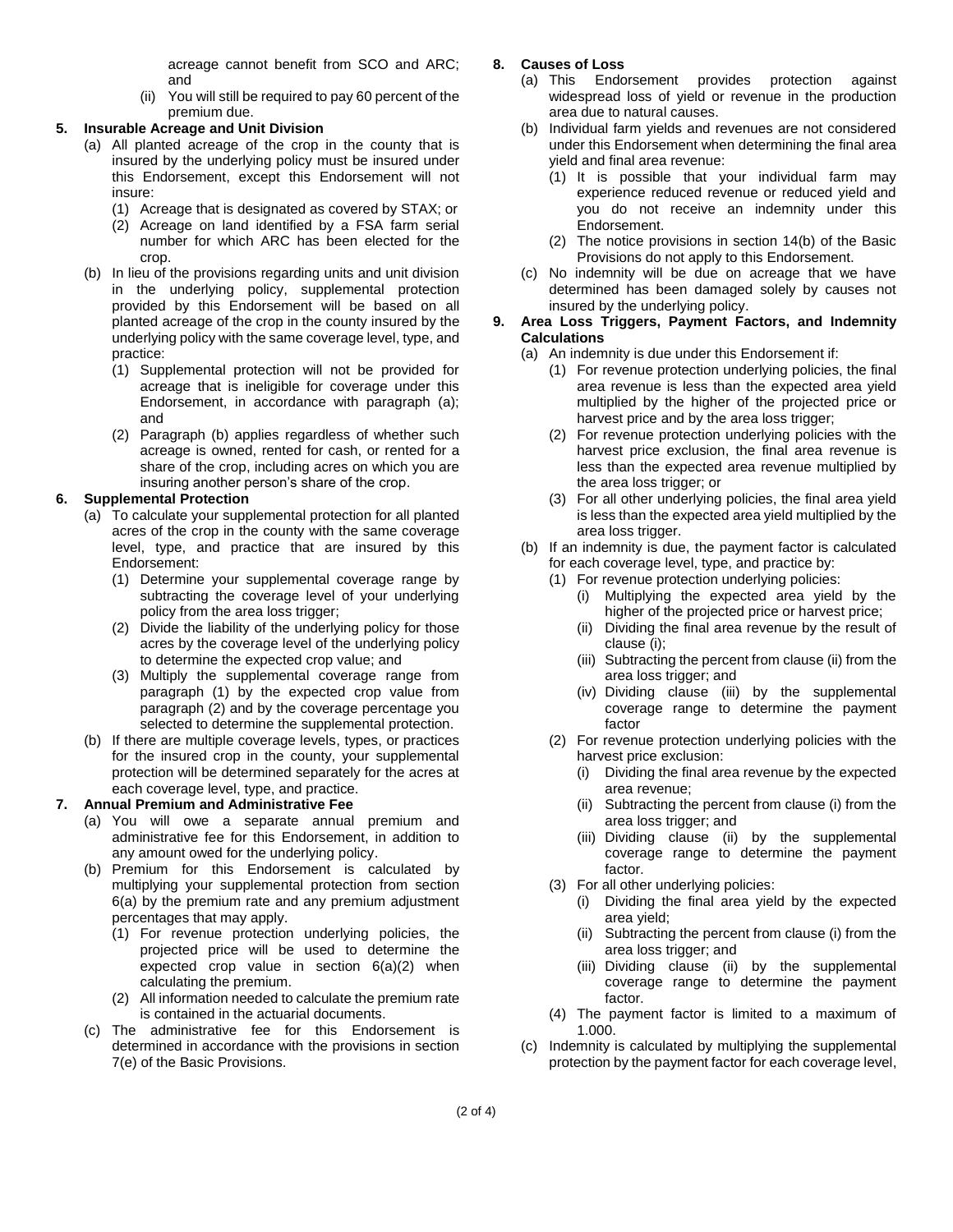acreage cannot benefit from SCO and ARC; and

(ii) You will still be required to pay 60 percent of the premium due.

## **5. Insurable Acreage and Unit Division**

- (a) All planted acreage of the crop in the county that is insured by the underlying policy must be insured under this Endorsement, except this Endorsement will not insure:
	- (1) Acreage that is designated as covered by STAX; or
	- (2) Acreage on land identified by a FSA farm serial number for which ARC has been elected for the crop.
- (b) In lieu of the provisions regarding units and unit division in the underlying policy, supplemental protection provided by this Endorsement will be based on all planted acreage of the crop in the county insured by the underlying policy with the same coverage level, type, and practice:
	- (1) Supplemental protection will not be provided for acreage that is ineligible for coverage under this Endorsement, in accordance with paragraph (a); and
	- (2) Paragraph (b) applies regardless of whether such acreage is owned, rented for cash, or rented for a share of the crop, including acres on which you are insuring another person's share of the crop.

# **6. Supplemental Protection**

- (a) To calculate your supplemental protection for all planted acres of the crop in the county with the same coverage level, type, and practice that are insured by this Endorsement:
	- (1) Determine your supplemental coverage range by subtracting the coverage level of your underlying policy from the area loss trigger;
	- (2) Divide the liability of the underlying policy for those acres by the coverage level of the underlying policy to determine the expected crop value; and
	- (3) Multiply the supplemental coverage range from paragraph (1) by the expected crop value from paragraph (2) and by the coverage percentage you selected to determine the supplemental protection.
- (b) If there are multiple coverage levels, types, or practices for the insured crop in the county, your supplemental protection will be determined separately for the acres at each coverage level, type, and practice.

# **7. Annual Premium and Administrative Fee**

- (a) You will owe a separate annual premium and administrative fee for this Endorsement, in addition to any amount owed for the underlying policy.
- (b) Premium for this Endorsement is calculated by multiplying your supplemental protection from section 6(a) by the premium rate and any premium adjustment percentages that may apply.
	- (1) For revenue protection underlying policies, the projected price will be used to determine the expected crop value in section 6(a)(2) when calculating the premium.
	- (2) All information needed to calculate the premium rate is contained in the actuarial documents.
- (c) The administrative fee for this Endorsement is determined in accordance with the provisions in section 7(e) of the Basic Provisions.

# **8. Causes of Loss**

- (a) This Endorsement provides protection against widespread loss of yield or revenue in the production area due to natural causes.
- (b) Individual farm yields and revenues are not considered under this Endorsement when determining the final area yield and final area revenue:
	- (1) It is possible that your individual farm may experience reduced revenue or reduced yield and you do not receive an indemnity under this Endorsement.
	- (2) The notice provisions in section 14(b) of the Basic Provisions do not apply to this Endorsement.
- (c) No indemnity will be due on acreage that we have determined has been damaged solely by causes not insured by the underlying policy.

### **9. Area Loss Triggers, Payment Factors, and Indemnity Calculations**

- (a) An indemnity is due under this Endorsement if:
	- (1) For revenue protection underlying policies, the final area revenue is less than the expected area yield multiplied by the higher of the projected price or harvest price and by the area loss trigger;
	- (2) For revenue protection underlying policies with the harvest price exclusion, the final area revenue is less than the expected area revenue multiplied by the area loss trigger; or
	- (3) For all other underlying policies, the final area yield is less than the expected area yield multiplied by the area loss trigger.
- (b) If an indemnity is due, the payment factor is calculated for each coverage level, type, and practice by:
	- (1) For revenue protection underlying policies:
		- (i) Multiplying the expected area yield by the higher of the projected price or harvest price;
		- Dividing the final area revenue by the result of clause (i);
		- (iii) Subtracting the percent from clause (ii) from the area loss trigger; and
		- (iv) Dividing clause (iii) by the supplemental coverage range to determine the payment factor
	- (2) For revenue protection underlying policies with the harvest price exclusion:
		- (i) Dividing the final area revenue by the expected area revenue;
		- (ii) Subtracting the percent from clause (i) from the area loss trigger; and
		- (iii) Dividing clause (ii) by the supplemental coverage range to determine the payment factor.
	- (3) For all other underlying policies:
		- (i) Dividing the final area yield by the expected area yield;
		- (ii) Subtracting the percent from clause (i) from the area loss trigger; and
		- (iii) Dividing clause (ii) by the supplemental coverage range to determine the payment factor.
	- (4) The payment factor is limited to a maximum of 1.000.
- (c) Indemnity is calculated by multiplying the supplemental protection by the payment factor for each coverage level,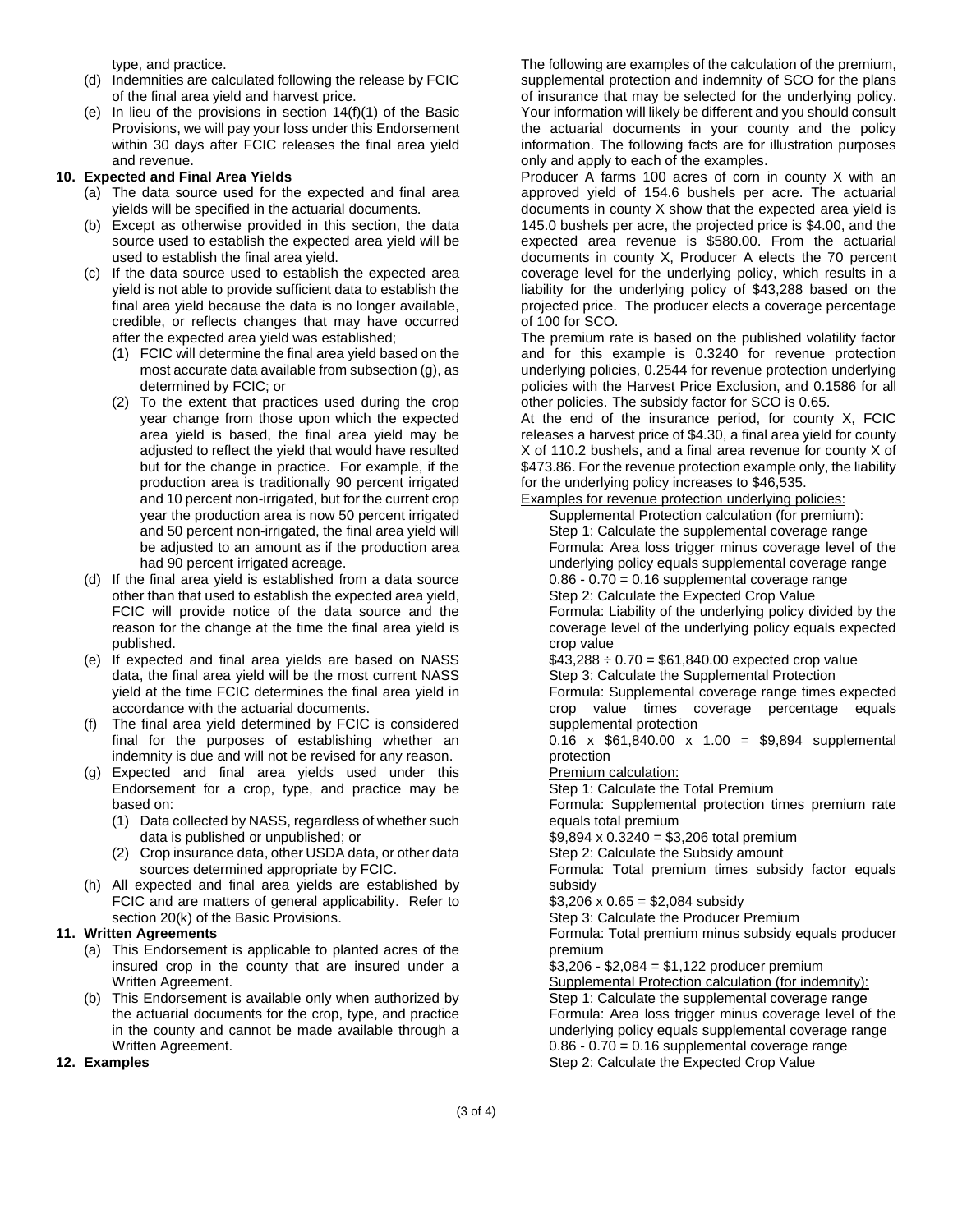type, and practice.

- (d) Indemnities are calculated following the release by FCIC of the final area yield and harvest price.
- (e) In lieu of the provisions in section 14(f)(1) of the Basic Provisions, we will pay your loss under this Endorsement within 30 days after FCIC releases the final area yield and revenue.

# **10. Expected and Final Area Yields**

- (a) The data source used for the expected and final area yields will be specified in the actuarial documents.
- (b) Except as otherwise provided in this section, the data source used to establish the expected area yield will be used to establish the final area yield.
- (c) If the data source used to establish the expected area yield is not able to provide sufficient data to establish the final area yield because the data is no longer available, credible, or reflects changes that may have occurred after the expected area yield was established;
	- (1) FCIC will determine the final area yield based on the most accurate data available from subsection (g), as determined by FCIC; or
	- (2) To the extent that practices used during the crop year change from those upon which the expected area yield is based, the final area yield may be adjusted to reflect the yield that would have resulted but for the change in practice. For example, if the production area is traditionally 90 percent irrigated and 10 percent non-irrigated, but for the current crop year the production area is now 50 percent irrigated and 50 percent non-irrigated, the final area yield will be adjusted to an amount as if the production area had 90 percent irrigated acreage.
- (d) If the final area yield is established from a data source other than that used to establish the expected area yield, FCIC will provide notice of the data source and the reason for the change at the time the final area yield is published.
- (e) If expected and final area yields are based on NASS data, the final area yield will be the most current NASS yield at the time FCIC determines the final area yield in accordance with the actuarial documents.
- (f) The final area yield determined by FCIC is considered final for the purposes of establishing whether an indemnity is due and will not be revised for any reason.
- (g) Expected and final area yields used under this Endorsement for a crop, type, and practice may be based on:
	- (1) Data collected by NASS, regardless of whether such data is published or unpublished; or
	- (2) Crop insurance data, other USDA data, or other data sources determined appropriate by FCIC.
- (h) All expected and final area yields are established by FCIC and are matters of general applicability. Refer to section 20(k) of the Basic Provisions.

### **11. Written Agreements**

- (a) This Endorsement is applicable to planted acres of the insured crop in the county that are insured under a Written Agreement.
- (b) This Endorsement is available only when authorized by the actuarial documents for the crop, type, and practice in the county and cannot be made available through a Written Agreement.

### **12. Examples**

The following are examples of the calculation of the premium, supplemental protection and indemnity of SCO for the plans of insurance that may be selected for the underlying policy. Your information will likely be different and you should consult the actuarial documents in your county and the policy information. The following facts are for illustration purposes only and apply to each of the examples.

Producer A farms 100 acres of corn in county X with an approved yield of 154.6 bushels per acre. The actuarial documents in county X show that the expected area yield is 145.0 bushels per acre, the projected price is \$4.00, and the expected area revenue is \$580.00. From the actuarial documents in county X, Producer A elects the 70 percent coverage level for the underlying policy, which results in a liability for the underlying policy of \$43,288 based on the projected price. The producer elects a coverage percentage of 100 for SCO.

The premium rate is based on the published volatility factor and for this example is 0.3240 for revenue protection underlying policies, 0.2544 for revenue protection underlying policies with the Harvest Price Exclusion, and 0.1586 for all other policies. The subsidy factor for SCO is 0.65.

At the end of the insurance period, for county X, FCIC releases a harvest price of \$4.30, a final area yield for county X of 110.2 bushels, and a final area revenue for county X of \$473.86. For the revenue protection example only, the liability for the underlying policy increases to \$46,535.

Examples for revenue protection underlying policies:

Supplemental Protection calculation (for premium): Step 1: Calculate the supplemental coverage range Formula: Area loss trigger minus coverage level of the underlying policy equals supplemental coverage range  $0.86 - 0.70 = 0.16$  supplemental coverage range Step 2: Calculate the Expected Crop Value Formula: Liability of the underlying policy divided by the coverage level of the underlying policy equals expected crop value

 $$43,288 \div 0.70 = $61,840.00$  expected crop value Step 3: Calculate the Supplemental Protection Formula: Supplemental coverage range times expected crop value times coverage percentage equals

supplemental protection 0.16 x  $$61,840.00 \times 1.00 = $9,894$  supplemental protection

Premium calculation:

Step 1: Calculate the Total Premium

Formula: Supplemental protection times premium rate equals total premium

 $$9,894 \times 0.3240 = $3,206$  total premium

Step 2: Calculate the Subsidy amount

Formula: Total premium times subsidy factor equals subsidy

 $$3,206 \times 0.65 = $2,084$  subsidy

Step 3: Calculate the Producer Premium

Formula: Total premium minus subsidy equals producer premium

\$3,206 - \$2,084 = \$1,122 producer premium Supplemental Protection calculation (for indemnity): Step 1: Calculate the supplemental coverage range Formula: Area loss trigger minus coverage level of the underlying policy equals supplemental coverage range  $0.86 - 0.70 = 0.16$  supplemental coverage range Step 2: Calculate the Expected Crop Value